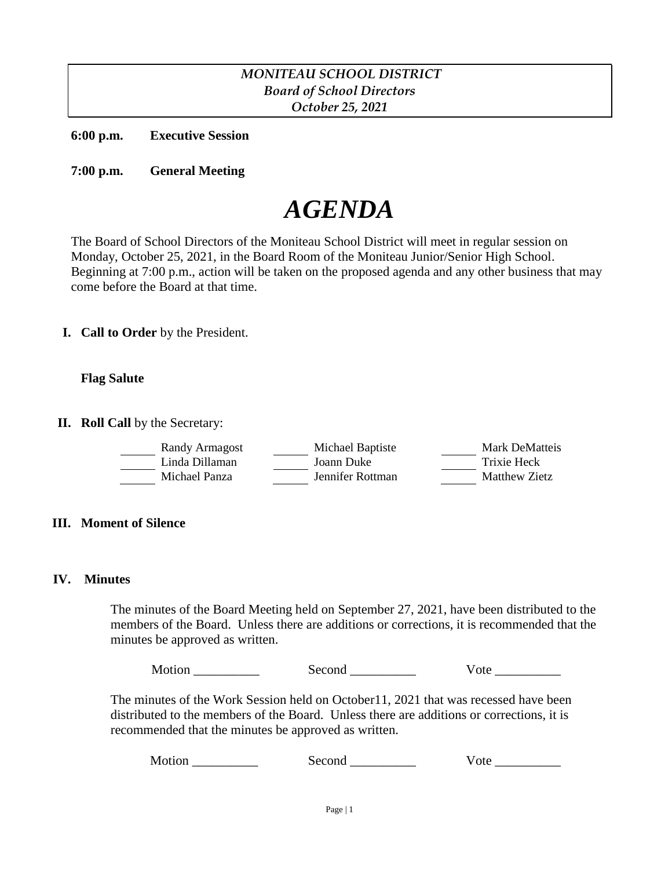## *MONITEAU SCHOOL DISTRICT Board of School Directors October 25, 2021*

**6:00 p.m. Executive Session**

**7:00 p.m. General Meeting**

# *AGENDA*

The Board of School Directors of the Moniteau School District will meet in regular session on Monday, October 25, 2021, in the Board Room of the Moniteau Junior/Senior High School. Beginning at 7:00 p.m., action will be taken on the proposed agenda and any other business that may come before the Board at that time.

**I. Call to Order** by the President.

#### **Flag Salute**

**II. Roll Call** by the Secretary:

| Randy Armagost | Michael Baptiste | Mark DeMatteis |
|----------------|------------------|----------------|
| Linda Dillaman | Joann Duke       | Trixie Heck    |
| Michael Panza  | Jennifer Rottman | Matthew Zietz  |

#### **III. Moment of Silence**

#### **IV. Minutes**

The minutes of the Board Meeting held on September 27, 2021, have been distributed to the members of the Board. Unless there are additions or corrections, it is recommended that the minutes be approved as written.

Motion Second Vote

The minutes of the Work Session held on October11, 2021 that was recessed have been distributed to the members of the Board. Unless there are additions or corrections, it is recommended that the minutes be approved as written.

Motion Second Vote **With Second** Vote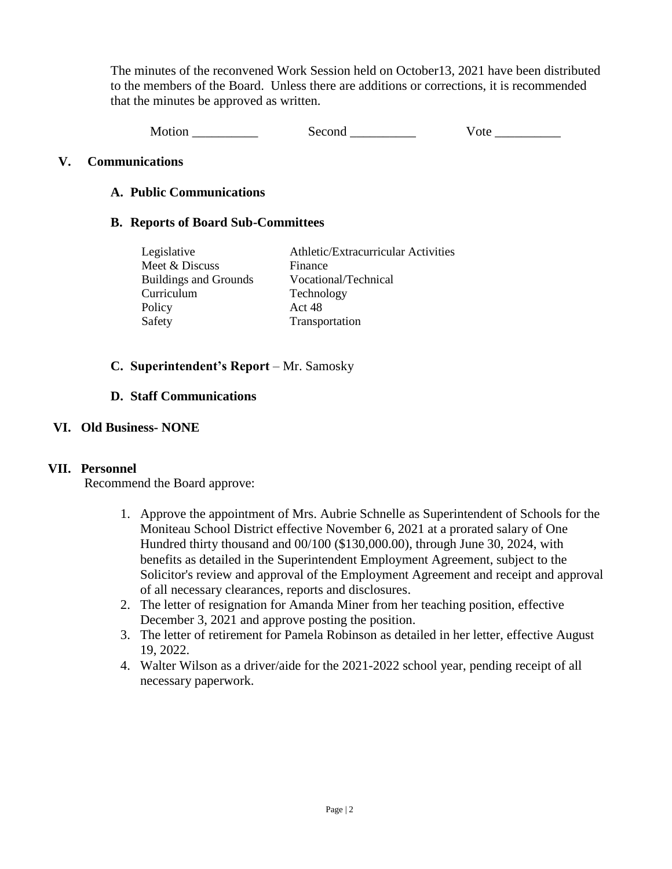The minutes of the reconvened Work Session held on October13, 2021 have been distributed to the members of the Board. Unless there are additions or corrections, it is recommended that the minutes be approved as written.

Motion \_\_\_\_\_\_\_\_\_\_\_\_\_\_ Second \_\_\_\_\_\_\_\_\_\_ Vote \_\_\_\_\_\_\_\_\_\_

### **V. Communications**

### **A. Public Communications**

#### **B. Reports of Board Sub-Committees**

| Legislative                  | Athletic/Extracurricular Activities |
|------------------------------|-------------------------------------|
| Meet & Discuss               | Finance                             |
| <b>Buildings and Grounds</b> | Vocational/Technical                |
| Curriculum                   | Technology                          |
| Policy                       | Act 48                              |
| Safety                       | Transportation                      |

### **C. Superintendent's Report** – Mr. Samosky

### **D. Staff Communications**

#### **VI. Old Business- NONE**

## **VII. Personnel**

Recommend the Board approve:

- 1. Approve the appointment of Mrs. Aubrie Schnelle as Superintendent of Schools for the Moniteau School District effective November 6, 2021 at a prorated salary of One Hundred thirty thousand and 00/100 (\$130,000.00), through June 30, 2024, with benefits as detailed in the Superintendent Employment Agreement, subject to the Solicitor's review and approval of the Employment Agreement and receipt and approval of all necessary clearances, reports and disclosures.
- 2. The letter of resignation for Amanda Miner from her teaching position, effective December 3, 2021 and approve posting the position.
- 3. The letter of retirement for Pamela Robinson as detailed in her letter, effective August 19, 2022.
- 4. Walter Wilson as a driver/aide for the 2021-2022 school year, pending receipt of all necessary paperwork.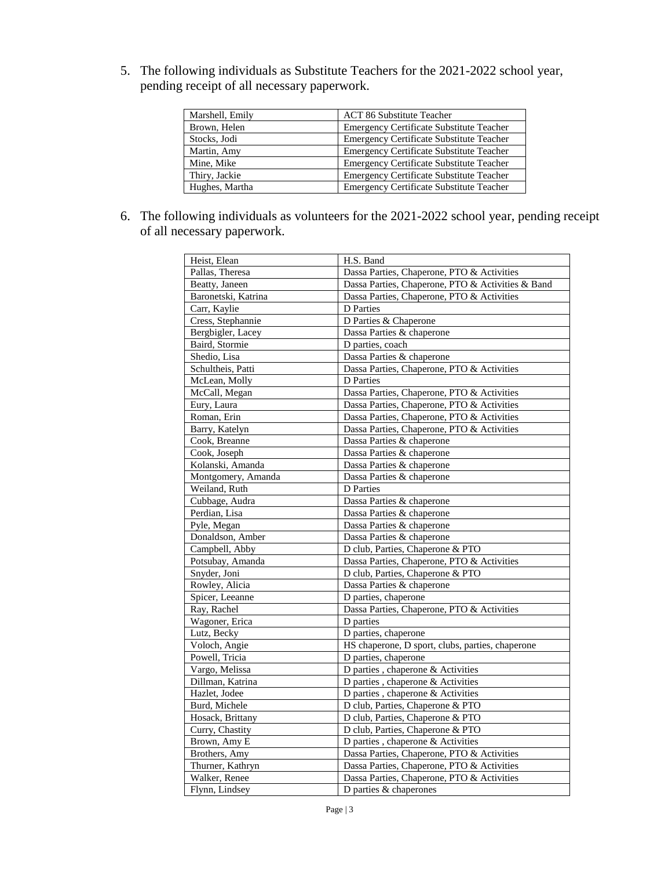5. The following individuals as Substitute Teachers for the 2021-2022 school year, pending receipt of all necessary paperwork.

| Marshell, Emily | <b>ACT 86 Substitute Teacher</b>                |
|-----------------|-------------------------------------------------|
| Brown, Helen    | Emergency Certificate Substitute Teacher        |
| Stocks, Jodi    | Emergency Certificate Substitute Teacher        |
| Martin, Amy     | Emergency Certificate Substitute Teacher        |
| Mine, Mike      | <b>Emergency Certificate Substitute Teacher</b> |
| Thiry, Jackie   | <b>Emergency Certificate Substitute Teacher</b> |
| Hughes, Martha  | Emergency Certificate Substitute Teacher        |

6. The following individuals as volunteers for the 2021-2022 school year, pending receipt of all necessary paperwork.

| Heist, Elean        | H.S. Band                                         |  |
|---------------------|---------------------------------------------------|--|
| Pallas, Theresa     | Dassa Parties, Chaperone, PTO & Activities        |  |
| Beatty, Janeen      | Dassa Parties, Chaperone, PTO & Activities & Band |  |
| Baronetski, Katrina | Dassa Parties, Chaperone, PTO & Activities        |  |
| Carr, Kaylie        | D Parties                                         |  |
| Cress, Stephannie   | D Parties & Chaperone                             |  |
| Bergbigler, Lacey   | Dassa Parties & chaperone                         |  |
| Baird, Stormie      | D parties, coach                                  |  |
| Shedio, Lisa        | Dassa Parties & chaperone                         |  |
| Schultheis, Patti   | Dassa Parties, Chaperone, PTO & Activities        |  |
| McLean, Molly       | D Parties                                         |  |
| McCall, Megan       | Dassa Parties, Chaperone, PTO & Activities        |  |
| Eury, Laura         | Dassa Parties, Chaperone, PTO & Activities        |  |
| Roman, Erin         | Dassa Parties, Chaperone, PTO & Activities        |  |
| Barry, Katelyn      | Dassa Parties, Chaperone, PTO & Activities        |  |
| Cook. Breanne       | Dassa Parties & chaperone                         |  |
| Cook, Joseph        | Dassa Parties & chaperone                         |  |
| Kolanski, Amanda    | Dassa Parties & chaperone                         |  |
| Montgomery, Amanda  | Dassa Parties & chaperone                         |  |
| Weiland, Ruth       | <b>D</b> Parties                                  |  |
| Cubbage, Audra      | Dassa Parties & chaperone                         |  |
| Perdian, Lisa       | Dassa Parties & chaperone                         |  |
| Pyle, Megan         | Dassa Parties & chaperone                         |  |
| Donaldson, Amber    | Dassa Parties & chaperone                         |  |
| Campbell, Abby      | D club, Parties, Chaperone & PTO                  |  |
| Potsubay, Amanda    | Dassa Parties, Chaperone, PTO & Activities        |  |
| Snyder, Joni        | D club, Parties, Chaperone & PTO                  |  |
| Rowley, Alicia      | Dassa Parties & chaperone                         |  |
| Spicer, Leeanne     | D parties, chaperone                              |  |
| Ray, Rachel         | Dassa Parties, Chaperone, PTO & Activities        |  |
| Wagoner, Erica      | D parties                                         |  |
| Lutz, Becky         | D parties, chaperone                              |  |
| Voloch, Angie       | HS chaperone, D sport, clubs, parties, chaperone  |  |
| Powell, Tricia      | D parties, chaperone                              |  |
| Vargo, Melissa      | D parties, chaperone & Activities                 |  |
| Dillman, Katrina    | D parties, chaperone & Activities                 |  |
| Hazlet, Jodee       | D parties, chaperone & Activities                 |  |
| Burd, Michele       | D club, Parties, Chaperone & PTO                  |  |
| Hosack, Brittany    | D club, Parties, Chaperone & PTO                  |  |
| Curry, Chastity     | D club, Parties, Chaperone & PTO                  |  |
| Brown, Amy E        | D parties, chaperone & Activities                 |  |
| Brothers, Amy       | Dassa Parties, Chaperone, PTO & Activities        |  |
| Thurner, Kathryn    | Dassa Parties, Chaperone, PTO & Activities        |  |
| Walker, Renee       | Dassa Parties, Chaperone, PTO & Activities        |  |
| Flynn, Lindsey      | D parties & chaperones                            |  |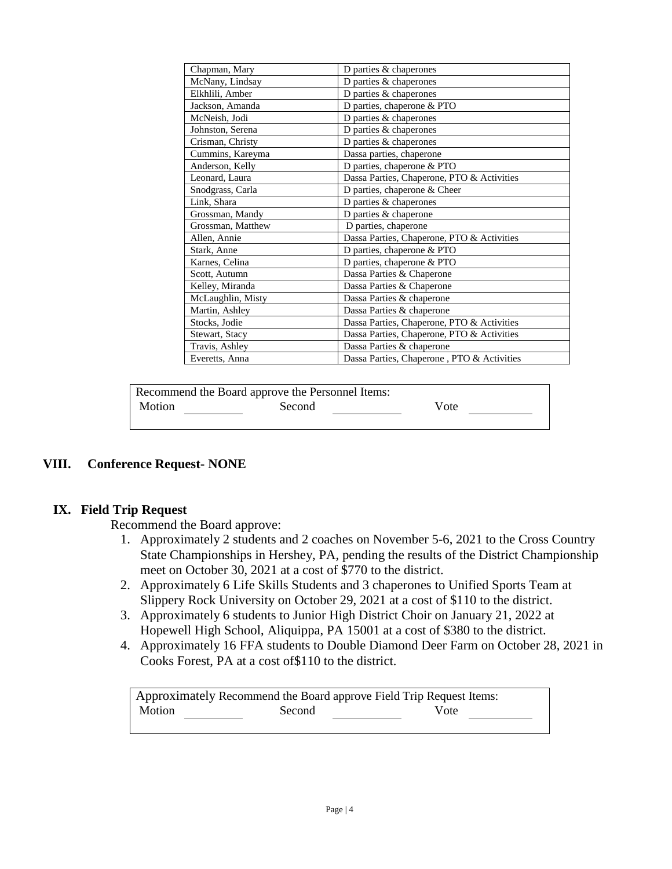| Chapman, Mary     | D parties & chaperones                     |
|-------------------|--------------------------------------------|
| McNany, Lindsay   | D parties & chaperones                     |
| Elkhlili, Amber   | D parties & chaperones                     |
| Jackson, Amanda   | D parties, chaperone & PTO                 |
| McNeish, Jodi     | D parties & chaperones                     |
| Johnston, Serena  | D parties & chaperones                     |
| Crisman, Christy  | D parties & chaperones                     |
| Cummins, Kareyma  | Dassa parties, chaperone                   |
| Anderson, Kelly   | D parties, chaperone & PTO                 |
| Leonard, Laura    | Dassa Parties, Chaperone, PTO & Activities |
| Snodgrass, Carla  | D parties, chaperone & Cheer               |
| Link, Shara       | D parties & chaperones                     |
| Grossman, Mandy   | D parties & chaperone                      |
| Grossman, Matthew | D parties, chaperone                       |
| Allen, Annie      | Dassa Parties, Chaperone, PTO & Activities |
| Stark, Anne       | D parties, chaperone & PTO                 |
| Karnes, Celina    | D parties, chaperone & PTO                 |
| Scott, Autumn     | Dassa Parties & Chaperone                  |
| Kelley, Miranda   | Dassa Parties & Chaperone                  |
| McLaughlin, Misty | Dassa Parties & chaperone                  |
| Martin, Ashley    | Dassa Parties & chaperone                  |
| Stocks, Jodie     | Dassa Parties, Chaperone, PTO & Activities |
| Stewart, Stacy    | Dassa Parties, Chaperone, PTO & Activities |
| Travis, Ashley    | Dassa Parties & chaperone                  |
| Everetts, Anna    | Dassa Parties, Chaperone, PTO & Activities |

| Recommend the Board approve the Personnel Items: |        |      |  |
|--------------------------------------------------|--------|------|--|
| Motion                                           | Second | Vote |  |
|                                                  |        |      |  |

#### **VIII. Conference Request- NONE**

#### **IX. Field Trip Request**

Recommend the Board approve:

- 1. Approximately 2 students and 2 coaches on November 5-6, 2021 to the Cross Country State Championships in Hershey, PA, pending the results of the District Championship meet on October 30, 2021 at a cost of \$770 to the district.
- 2. Approximately 6 Life Skills Students and 3 chaperones to Unified Sports Team at Slippery Rock University on October 29, 2021 at a cost of \$110 to the district.
- 3. Approximately 6 students to Junior High District Choir on January 21, 2022 at Hopewell High School, Aliquippa, PA 15001 at a cost of \$380 to the district.
- 4. Approximately 16 FFA students to Double Diamond Deer Farm on October 28, 2021 in Cooks Forest, PA at a cost of\$110 to the district.

Approximately Recommend the Board approve Field Trip Request Items: Motion Second Vote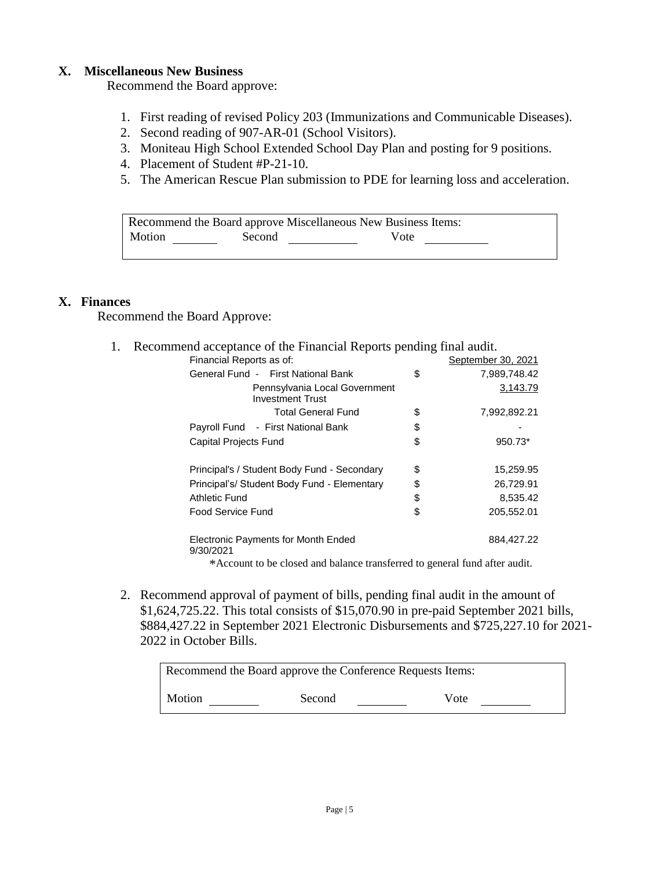#### **X. Miscellaneous New Business**

Recommend the Board approve:

- 1. First reading of revised Policy 203 (Immunizations and Communicable Diseases).
- 2. Second reading of 907-AR-01 (School Visitors).
- 3. Moniteau High School Extended School Day Plan and posting for 9 positions.
- 4. Placement of Student #P-21-10.
- 5. The American Rescue Plan submission to PDE for learning loss and acceleration.

| Recommend the Board approve Miscellaneous New Business Items: |        |      |  |
|---------------------------------------------------------------|--------|------|--|
| Motion                                                        | Second | Vote |  |
|                                                               |        |      |  |

#### **X. Finances**

Recommend the Board Approve:

1. Recommend acceptance of the Financial Reports pending final audit.

| Financial Reports as of:                                 |    | September 30, 2021 |
|----------------------------------------------------------|----|--------------------|
| General Fund - First National Bank                       | \$ | 7,989,748.42       |
| Pennsylvania Local Government<br><b>Investment Trust</b> |    | 3,143.79           |
| <b>Total General Fund</b>                                | S  | 7,992,892.21       |
| Payroll Fund - First National Bank                       | \$ |                    |
| <b>Capital Projects Fund</b>                             | \$ | 950.73*            |
| Principal's / Student Body Fund - Secondary              | \$ | 15,259.95          |
| Principal's/ Student Body Fund - Elementary              | \$ | 26,729.91          |
| Athletic Fund                                            | \$ | 8,535.42           |
| Food Service Fund                                        | \$ | 205,552.01         |
| Electronic Payments for Month Ended<br>9/30/2021         |    | 884,427.22         |

\*Account to be closed and balance transferred to general fund after audit.

2. Recommend approval of payment of bills, pending final audit in the amount of \$1,624,725.22. This total consists of \$15,070.90 in pre-paid September 2021 bills, \$884,427.22 in September 2021 Electronic Disbursements and \$725,227.10 for 2021- 2022 in October Bills.

| Recommend the Board approve the Conference Requests Items: |  |  |  |
|------------------------------------------------------------|--|--|--|
| Motion<br>Vote<br>Second                                   |  |  |  |